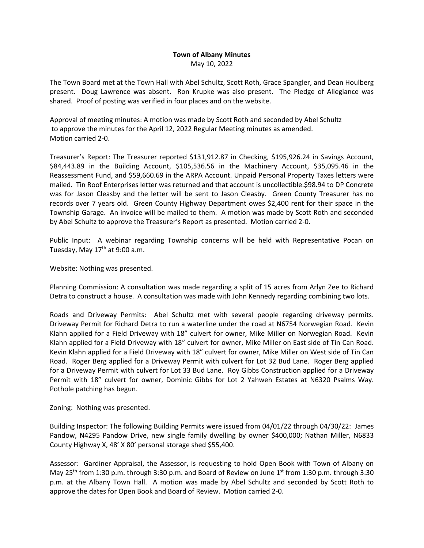## **Town of Albany Minutes** May 10, 2022

The Town Board met at the Town Hall with Abel Schultz, Scott Roth, Grace Spangler, and Dean Houlberg present. Doug Lawrence was absent. Ron Krupke was also present. The Pledge of Allegiance was shared. Proof of posting was verified in four places and on the website.

Approval of meeting minutes: A motion was made by Scott Roth and seconded by Abel Schultz to approve the minutes for the April 12, 2022 Regular Meeting minutes as amended. Motion carried 2-0.

Treasurer's Report: The Treasurer reported \$131,912.87 in Checking, \$195,926.24 in Savings Account, \$84,443.89 in the Building Account, \$105,536.56 in the Machinery Account, \$35,095.46 in the Reassessment Fund, and \$59,660.69 in the ARPA Account. Unpaid Personal Property Taxes letters were mailed. Tin Roof Enterprises letter was returned and that account is uncollectible.\$98.94 to DP Concrete was for Jason Cleasby and the letter will be sent to Jason Cleasby. Green County Treasurer has no records over 7 years old. Green County Highway Department owes \$2,400 rent for their space in the Township Garage. An invoice will be mailed to them. A motion was made by Scott Roth and seconded by Abel Schultz to approve the Treasurer's Report as presented. Motion carried 2-0.

Public Input: A webinar regarding Township concerns will be held with Representative Pocan on Tuesday, May  $17<sup>th</sup>$  at 9:00 a.m.

Website: Nothing was presented.

Planning Commission: A consultation was made regarding a split of 15 acres from Arlyn Zee to Richard Detra to construct a house. A consultation was made with John Kennedy regarding combining two lots.

Roads and Driveway Permits: Abel Schultz met with several people regarding driveway permits. Driveway Permit for Richard Detra to run a waterline under the road at N6754 Norwegian Road. Kevin Klahn applied for a Field Driveway with 18" culvert for owner, Mike Miller on Norwegian Road. Kevin Klahn applied for a Field Driveway with 18" culvert for owner, Mike Miller on East side of Tin Can Road. Kevin Klahn applied for a Field Driveway with 18" culvert for owner, Mike Miller on West side of Tin Can Road. Roger Berg applied for a Driveway Permit with culvert for Lot 32 Bud Lane. Roger Berg applied for a Driveway Permit with culvert for Lot 33 Bud Lane. Roy Gibbs Construction applied for a Driveway Permit with 18" culvert for owner, Dominic Gibbs for Lot 2 Yahweh Estates at N6320 Psalms Way. Pothole patching has begun.

Zoning: Nothing was presented.

Building Inspector: The following Building Permits were issued from 04/01/22 through 04/30/22: James Pandow, N4295 Pandow Drive, new single family dwelling by owner \$400,000; Nathan Miller, N6833 County Highway X, 48' X 80' personal storage shed \$55,400.

Assessor: Gardiner Appraisal, the Assessor, is requesting to hold Open Book with Town of Albany on May 25<sup>th</sup> from 1:30 p.m. through 3:30 p.m. and Board of Review on June 1<sup>st</sup> from 1:30 p.m. through 3:30 p.m. at the Albany Town Hall. A motion was made by Abel Schultz and seconded by Scott Roth to approve the dates for Open Book and Board of Review. Motion carried 2-0.